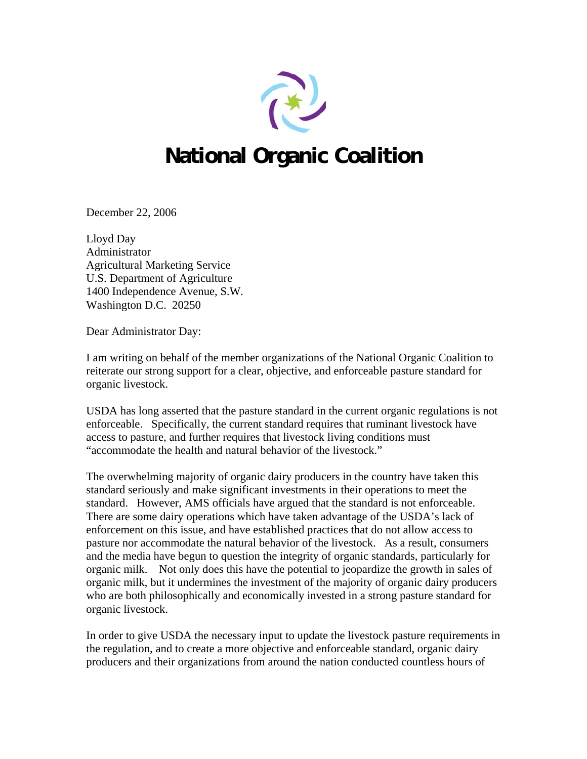

## **National Organic Coalition**

December 22, 2006

Lloyd Day Administrator Agricultural Marketing Service U.S. Department of Agriculture 1400 Independence Avenue, S.W. Washington D.C. 20250

Dear Administrator Day:

I am writing on behalf of the member organizations of the National Organic Coalition to reiterate our strong support for a clear, objective, and enforceable pasture standard for organic livestock.

USDA has long asserted that the pasture standard in the current organic regulations is not enforceable. Specifically, the current standard requires that ruminant livestock have access to pasture, and further requires that livestock living conditions must "accommodate the health and natural behavior of the livestock."

The overwhelming majority of organic dairy producers in the country have taken this standard seriously and make significant investments in their operations to meet the standard. However, AMS officials have argued that the standard is not enforceable. There are some dairy operations which have taken advantage of the USDA's lack of enforcement on this issue, and have established practices that do not allow access to pasture nor accommodate the natural behavior of the livestock. As a result, consumers and the media have begun to question the integrity of organic standards, particularly for organic milk. Not only does this have the potential to jeopardize the growth in sales of organic milk, but it undermines the investment of the majority of organic dairy producers who are both philosophically and economically invested in a strong pasture standard for organic livestock.

In order to give USDA the necessary input to update the livestock pasture requirements in the regulation, and to create a more objective and enforceable standard, organic dairy producers and their organizations from around the nation conducted countless hours of